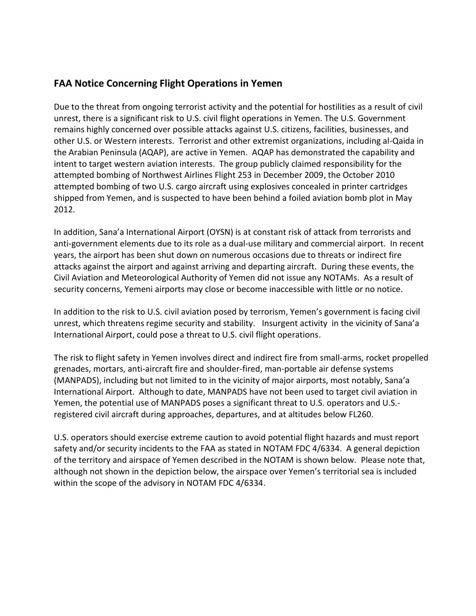## **FAA Notice Concerning Flight Operations in Yemen**

Due to the threat from ongoing terrorist activity and the potential for hostilities as a result of civil unrest, there is a significant risk to U.S. civil flight operations in Yemen. The U.S. Government remains highly concerned over possible attacks against U.S. citizens, facilities, businesses, and other U.S. or Western interests. Terrorist and other extremist organizations, including al-Qaida in the Arabian Peninsula (AQAP), are active in Yemen. AQAP has demonstrated the capability and intent to target western aviation interests. The group publicly claimed responsibility for the attempted bombing of Northwest Airlines Flight 253 in December 2009, the October 2010 attempted bombing of two U.S. cargo aircraft using explosives concealed in printer cartridges shipped from Yemen, and is suspected to have been behind a foiled aviation bomb plot in May 2012.

In addition, Sana'a International Airport (OYSN) is at constant risk of attack from terrorists and anti-government elements due to its role as a dual-use military and commercial airport. In recent years, the airport has been shut down on numerous occasions due to threats or indirect fire attacks against the airport and against arriving and departing aircraft. During these events, the Civil Aviation and Meteorological Authority of Yemen did not issue any NOTAMs. As a result of security concerns, Yemeni airports may close or become inaccessible with little or no notice.

In addition to the risk to U.S. civil aviation posed by terrorism, Yemen's government is facing civil unrest, which threatens regime security and stability. Insurgent activity in the vicinity of Sana'a International Airport, could pose a threat to U.S. civil flight operations.

The risk to flight safety in Yemen involves direct and indirect fire from small-arms, rocket propelled grenades, mortars, anti-aircraft fire and shoulder-fired, man-portable air defense systems (MANPADS), including but not limited to in the vicinity of major airports, most notably, Sana'a International Airport. Although to date, MANPADS have not been used to target civil aviation in Yemen, the potential use of MANPADS poses a significant threat to U.S. operators and U.S. registered civil aircraft during approaches, departures, and at altitudes below FL260.

U.S. operators should exercise extreme caution to avoid potential flight hazards and must report safety and/or security incidents to the FAA as stated in NOTAM FDC 4/6334. A general depiction of the territory and airspace of Yemen described in the NOTAM is shown below. Please note that, although not shown in the depiction below, the airspace over Yemen's territorial sea is included within the scope of the advisory in NOTAM FDC 4/6334.